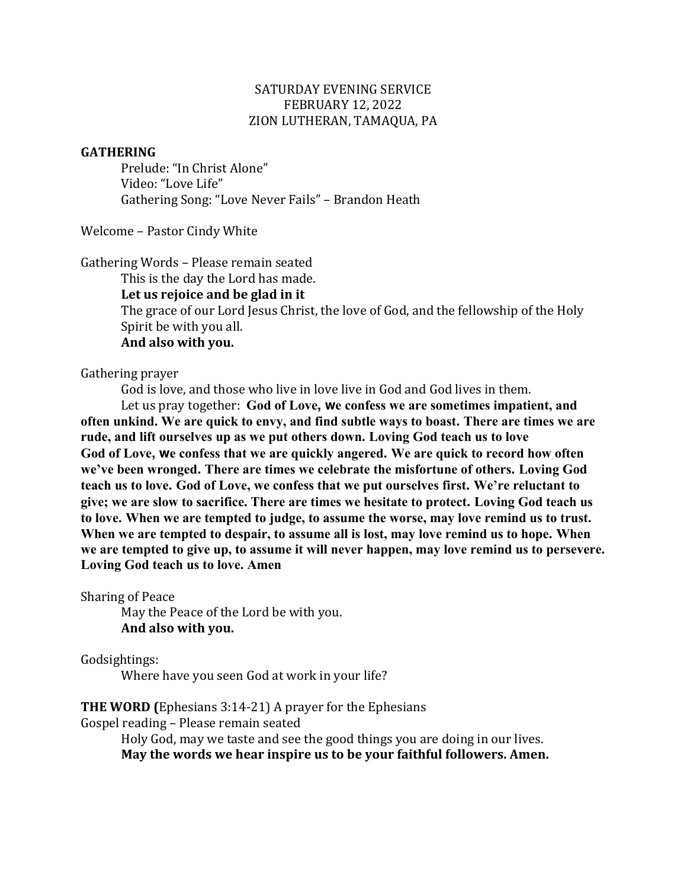### SATURDAY EVENING SERVICE FEBRUARY 12, 2022 ZION LUTHERAN, TAMAQUA, PA

### **GATHERING**

Prelude: "In Christ Alone" Video: "Love Life" Gathering Song: "Love Never Fails" – Brandon Heath

Welcome - Pastor Cindy White

Gathering Words - Please remain seated

This is the day the Lord has made.

Let us rejoice and be glad in it

The grace of our Lord Jesus Christ, the love of God, and the fellowship of the Holy Spirit be with you all.

And also with you.

Gathering prayer

God is love, and those who live in love live in God and God lives in them.

Let us pray together: God of Love, we confess we are sometimes impatient, and **often unkind. We are quick to envy, and find subtle ways to boast. There are times we are rude, and lift ourselves up as we put others down. Loving God teach us to love God of Love, we confess that we are quickly angered. We are quick to record how often we've been wronged. There are times we celebrate the misfortune of others. Loving God teach us to love. God of Love, we confess that we put ourselves first. We're reluctant to give; we are slow to sacrifice. There are times we hesitate to protect. Loving God teach us to love. When we are tempted to judge, to assume the worse, may love remind us to trust. When we are tempted to despair, to assume all is lost, may love remind us to hope. When we are tempted to give up, to assume it will never happen, may love remind us to persevere. Loving God teach us to love. Amen**

Sharing of Peace

May the Peace of the Lord be with you. **And also with you.**

Godsightings:

Where have you seen God at work in your life?

**THE WORD** (Ephesians 3:14-21) A prayer for the Ephesians

Gospel reading - Please remain seated

Holy God, may we taste and see the good things you are doing in our lives. May the words we hear inspire us to be your faithful followers. Amen.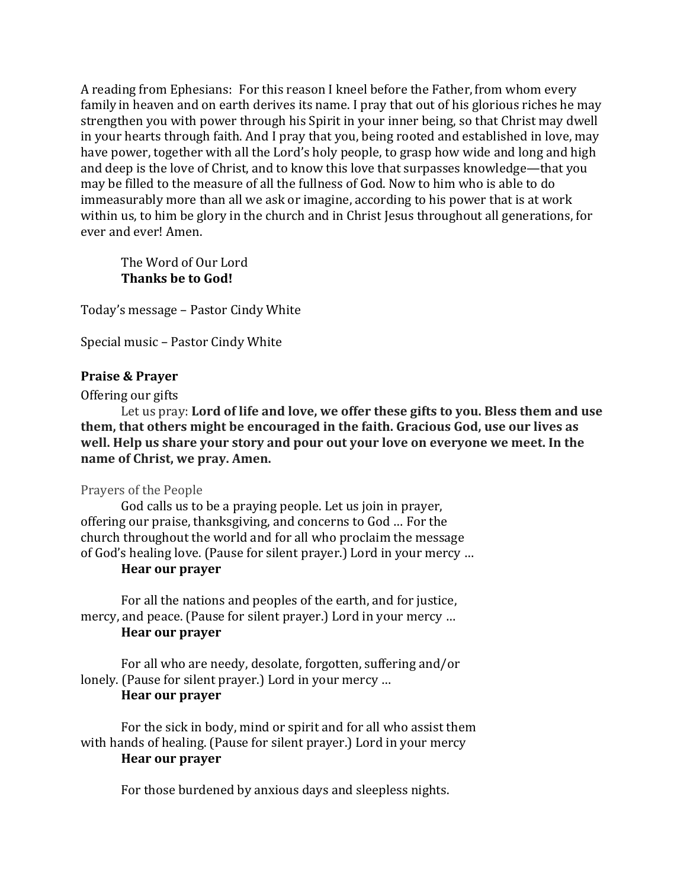A reading from Ephesians: For this reason I kneel before the Father, from whom every family in heaven and on earth derives its name. I pray that out of his glorious riches he may strengthen you with power through his Spirit in your inner being, so that Christ may dwell in your hearts through faith. And I pray that you, being rooted and established in love, may have power, together with all the Lord's holy people, to grasp how wide and long and high and deep is the love of Christ, and to know this love that surpasses knowledge—that you may be filled to the measure of all the fullness of God. Now to him who is able to do immeasurably more than all we ask or imagine, according to his power that is at work within us, to him be glory in the church and in Christ Jesus throughout all generations, for ever and ever! Amen.

The Word of Our Lord **Thanks be to God!** 

Today's message - Pastor Cindy White

Special music - Pastor Cindy White

### **Praise & Prayer**

Offering our gifts

Let us pray: Lord of life and love, we offer these gifts to you. Bless them and use **them, that others might be encouraged in the faith. Gracious God, use our lives as** well. Help us share your story and pour out your love on everyone we meet. In the **name** of Christ, we pray. Amen.

### Prayers of the People

God calls us to be a praying people. Let us join in prayer, offering our praise, thanksgiving, and concerns to God ... For the church throughout the world and for all who proclaim the message of God's healing love. (Pause for silent prayer.) Lord in your mercy ...

# **Hear our prayer**

For all the nations and peoples of the earth, and for justice, mercy, and peace. (Pause for silent prayer.) Lord in your mercy ... **Hear our prayer** 

For all who are needy, desolate, forgotten, suffering and/or lonely. (Pause for silent prayer.) Lord in your mercy ... **Hear our prayer** 

For the sick in body, mind or spirit and for all who assist them with hands of healing. (Pause for silent prayer.) Lord in your mercy **Hear our prayer**

For those burdened by anxious days and sleepless nights.